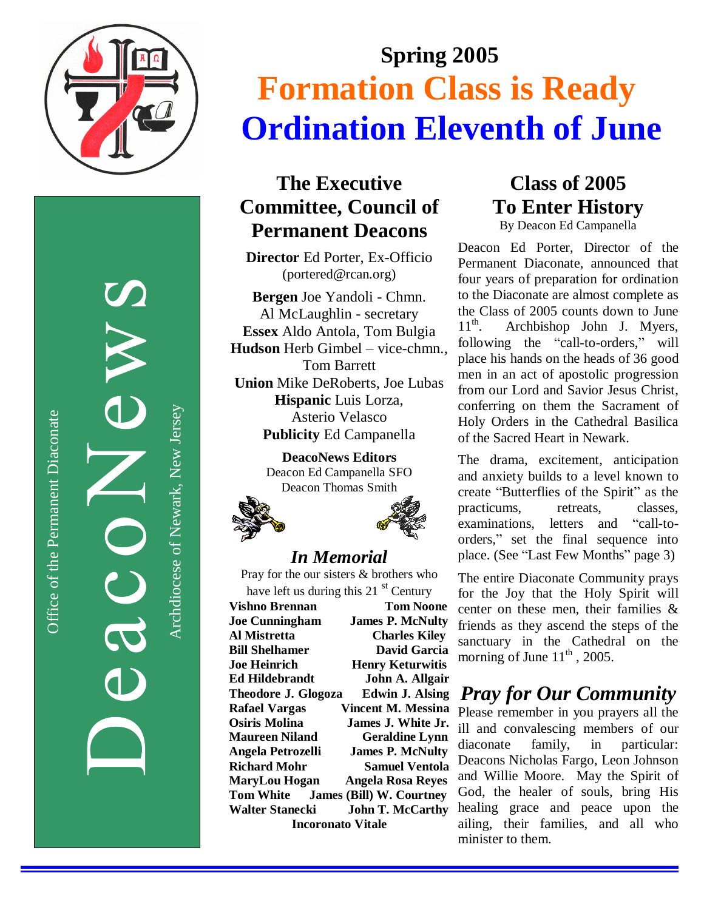

Office of the Permanent Diaconate Office of the Permanent Diaconate

Archdiocese of Newark, New JerseyArchdiocese of Newark, New Jersey

# **S p r i n g 2 0 0 5 Formation Class is Ready Ordination Eleventh of June**

#### The Executive **Committee, Council of Permanent Deacons**

Director Ed Porter, Ex-Officio (portered@rcan.org)

Bergen Joe Yandoli - Chmn. Al McLaughlin - secretary Essex Aldo Antola, Tom Bulgia Hudson Herb Gimbel - vice-chmn., Tom Barrett Union Mike DeRoberts, Joe Lubas Hispanic Luis Lorza, Asterio Velasco Publicity Ed Campanella

> **DeacoNews Editors** Deacon Ed Campanella SFO Deacon Thomas Smith





#### *In Me m o ria l*

Pray for the our sisters & brothers who have left us during this 21 st Century

**Vishno Brennan Tom Noone Joe Cunningham James P. McNulty Al Mistretta Charles Kiley Bill Shelhamer D**avid Garcia **Joe Heinrich Henry Keturwitis** Ed Hildebrandt **John A. Allgair Theodore J. Glogoza** Edwin J. Alsing **Rafael Vargas** Vincent M. Messina **Osiris Molina James J. White Jr.** Maureen Niland Geraldine Lynn Angela Petrozelli **James P. McNulty Richard Mohr Samuel Ventola** MaryLou Hogan Angela Rosa Reyes **T o m W h i t e James (Bill) W. Courtney** Walter Stanecki **John T. McCarthy** Incoronato Vitale

**C l a s s o f 2 0 0 5** To Enter History

By Deacon Ed Campanella

Deacon Ed Porter, Director of the Permanent Diaconate, announced that four years of preparation for ordination to the Diaconate are almost complete as the Class of 2005 counts down to June  $11^{\text{th}}$ . Archbishop John J. Myers, following the "call-to-orders," will place his hands on the heads of 36 good men in an act of apostolic progression from our Lord and Savior Jesus Christ, conferring on them the Sacrament of Holy Orders in the Cathedral Basilica of the Sacred Heart in Newark.

The drama, excitement, anticipation and anxiety builds to a level known to create "Butterflies of the Spirit" as the practicums, retreats, classes, examinations, letters and "call-toorders," set the final sequence into place. (See "Last Few Months" page 3)

The entire Diaconate Community prays for the Joy that the Holy Spirit will center on these men, their families & friends as they ascend the steps of the sanctuary in the Cathedral on the morning of June  $11<sup>th</sup>$ , 2005.

### *Pray for Our Community*

Please remember in you prayers all the ill and convalescing members of our diaconate family, i n particular: Deacons Nicholas Fargo, Leon Johnson and Willie Moore. May the Spirit of God, the healer of souls, bring His healing grace and peace upon the ailing, their families, and all who minister to them.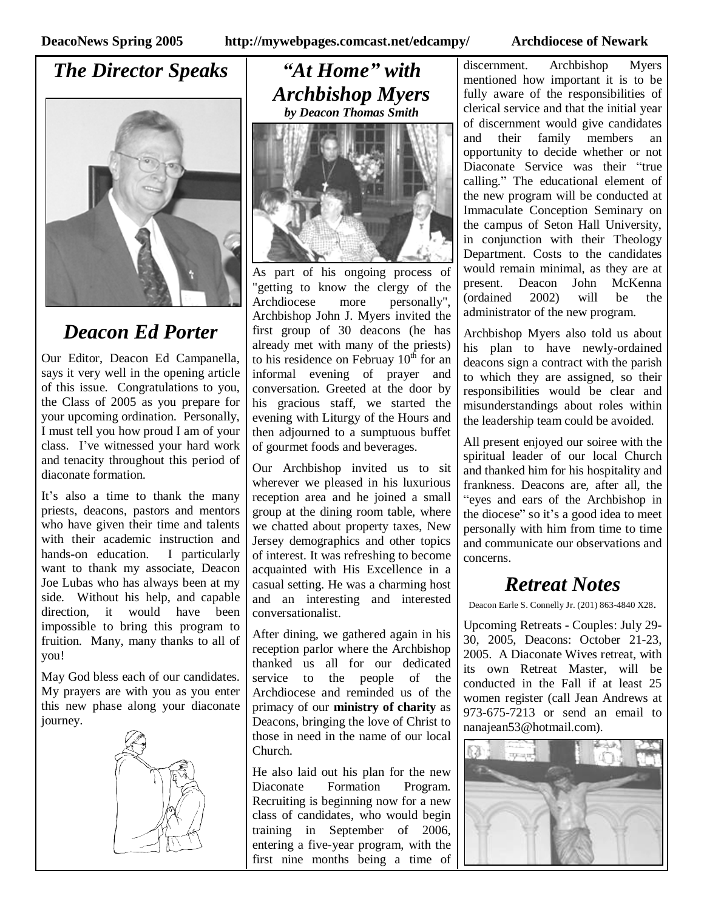#### *The Director Speaks*



#### *Deacon Ed Porter*

Our Editor, Deacon Ed Campanella, says it very well in the opening article of this issue. Congratulations to you, the Class of 2005 as you prepare for your upcoming ordination. Personally, I must tell you how proud I am of your class. I've witnessed your hard work and tenacity throughout this period of diaconate formation.

It's also a time to thank the many priests, deacons, pastors and mentors who have given their time and talents with their academic instruction and hands-on education. I particularly want to thank my associate, Deacon Joe Lubas who has always been at my side. Without his help, and capable direction, it would have been impossible to bring this program to fruition. Many, many thanks to all of you!

May God bless each of our candidates. My prayers are with you as you enter this new phase along your diaconate journey.



*"At Home"with Archbishop Myers by Deacon Thomas Smith*



As part of his ongoing process of "getting to know the clergy of the Archdiocese more personally", Archbishop John J. Myers invited the first group of 30 deacons (he has already met with many of the priests) to his residence on Februay  $10^{th}$  for an informal evening of prayer and conversation. Greeted at the door by his gracious staff, we started the evening with Liturgy of the Hours and then adjourned to a sumptuous buffet of gourmet foods and beverages.

Our Archbishop invited us to sit wherever we pleased in his luxurious reception area and he joined a small group at the dining room table, where we chatted about property taxes, New Jersey demographics and other topics of interest. It was refreshing to become acquainted with His Excellence in a casual setting. He was a charming host and an interesting and interested conversationalist.

After dining, we gathered again in his reception parlor where the Archbishop thanked us all for our dedicated service to the people of the Archdiocese and reminded us of the primacy of our **ministry of charity** as Deacons, bringing the love of Christ to those in need in the name of our local Church.

He also laid out his plan for the new Diaconate Formation Program. Recruiting is beginning now for a new class of candidates, who would begin training in September of 2006, entering a five-year program, with the first nine months being a time of

discernment. Archbishop Myers mentioned how important it is to be fully aware of the responsibilities of clerical service and that the initial year of discernment would give candidates and their family members an opportunity to decide whether or not Diaconate Service was their "true calling."The educational element of the new program will be conducted at Immaculate Conception Seminary on the campus of Seton Hall University, in conjunction with their Theology Department. Costs to the candidates would remain minimal, as they are at present. Deacon John McKenna (ordained 2002) will be the administrator of the new program.

Archbishop Myers also told us about his plan to have newly-ordained deacons sign a contract with the parish to which they are assigned, so their responsibilities would be clear and misunderstandings about roles within the leadership team could be avoided.

All present enjoyed our soiree with the spiritual leader of our local Church and thanked him for his hospitality and frankness. Deacons are, after all, the "eyes and ears of the Archbishop in the diocese"so it's a good idea to meet personally with him from time to time and communicate our observations and concerns.

#### *Retreat Notes*

Deacon Earle S. Connelly Jr. (201) 863-4840 X28.

Upcoming Retreats - Couples: July 29- 30, 2005, Deacons: October 21-23, 2005. A Diaconate Wives retreat, with its own Retreat Master, will be conducted in the Fall if at least 25 women register (call Jean Andrews at 973-675-7213 or send an email to nanajean53@hotmail.com).

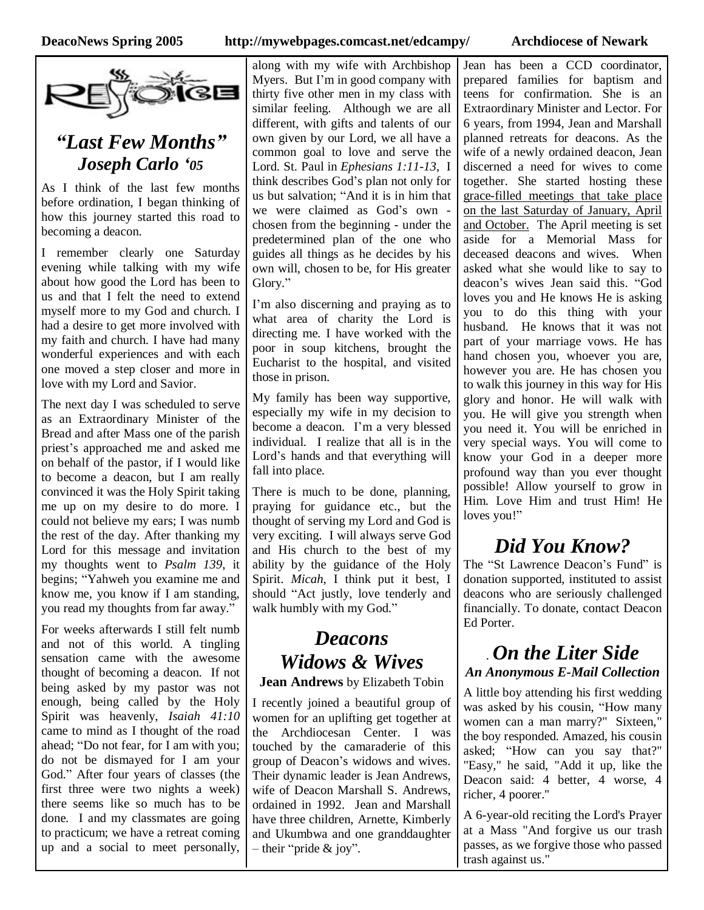

#### *"Last Few Months" Joseph Carlo '05*

As I think of the last few months before ordination, I began thinking of how this journey started this road to becoming a deacon.

I remember clearly one Saturday evening while talking with my wife about how good the Lord has been to us and that I felt the need to extend myself more to my God and church. I had a desire to get more involved with my faith and church. I have had many wonderful experiences and with each one moved a step closer and more in love with my Lord and Savior.

The next day I was scheduled to serve as an Extraordinary Minister of the Bread and after Mass one of the parish priest's approached me and asked me on behalf of the pastor, if I would like to become a deacon, but I am really convinced it was the Holy Spirit taking me up on my desire to do more. I could not believe my ears; I was numb the rest of the day. After thanking my Lord for this message and invitation my thoughts went to *Psalm 139*, it begins; "Yahweh you examine me and know me, you know if I am standing, you read my thoughts from far away."

For weeks afterwards I still felt numb and not of this world. A tingling sensation came with the awesome thought of becoming a deacon. If not being asked by my pastor was not enough, being called by the Holy Spirit was heavenly, *Isaiah 41:10* came to mind as I thought of the road ahead; "Do not fear, for I am with you; do not be dismayed for I am your God."After four years of classes (the first three were two nights a week) there seems like so much has to be done. I and my classmates are going to practicum; we have a retreat coming up and a social to meet personally,

along with my wife with Archbishop Myers. But I'm in good company with thirty five other men in my class with similar feeling. Although we are all different, with gifts and talents of our own given by our Lord, we all have a common goal to love and serve the Lord. St. Paul in *Ephesians 1:11-13*, I think describes God's plan not only for us but salvation; "And it is in him that we were claimed as God's own chosen from the beginning - under the predetermined plan of the one who guides all things as he decides by his own will, chosen to be, for His greater Glory."

I'm also discerning and praying as to what area of charity the Lord is directing me. I have worked with the poor in soup kitchens, brought the Eucharist to the hospital, and visited those in prison.

My family has been way supportive, especially my wife in my decision to become a deacon. I'm a very blessed individual. I realize that all is in the Lord's hands and that everything will fall into place.

There is much to be done, planning, praying for guidance etc., but the thought of serving my Lord and God is very exciting. I will always serve God and His church to the best of my ability by the guidance of the Holy Spirit. *Micah*, I think put it best, I should "Act justly, love tenderly and walk humbly with my God."

## *Deacons Widows & Wives*

**Jean Andrews** by Elizabeth Tobin

I recently joined a beautiful group of women for an uplifting get together at the Archdiocesan Center. I was touched by the camaraderie of this group of Deacon's widows and wives. Their dynamic leader is Jean Andrews, wife of Deacon Marshall S. Andrews, ordained in 1992. Jean and Marshall have three children, Arnette, Kimberly and Ukumbwa and one granddaughter  $-$  their "pride & joy".

Jean has been a CCD coordinator, prepared families for baptism and teens for confirmation. She is an Extraordinary Minister and Lector. For 6 years, from 1994, Jean and Marshall planned retreats for deacons. As the wife of a newly ordained deacon, Jean discerned a need for wives to come together. She started hosting these grace-filled meetings that take place on the last Saturday of January, April and October. The April meeting is set aside for a Memorial Mass for deceased deacons and wives. When asked what she would like to say to deacon's wives Jean said this. "God loves you and He knows He is asking you to do this thing with your husband. He knows that it was not part of your marriage vows. He has hand chosen you, whoever you are, however you are. He has chosen you to walk this journey in this way for His glory and honor. He will walk with you. He will give you strength when you need it. You will be enriched in very special ways. You will come to know your God in a deeper more profound way than you ever thought possible! Allow yourself to grow in Him. Love Him and trust Him! He loves you!"

## *Did You Know?*

The "St Lawrence Deacon's Fund" is donation supported, instituted to assist deacons who are seriously challenged financially. To donate, contact Deacon Ed Porter.

#### . *On the Liter Side An Anonymous E-Mail Collection*

A little boy attending his first wedding was asked by his cousin, "How many women can a man marry?" Sixteen," the boy responded. Amazed, his cousin asked; "How can you say that?" "Easy," he said, "Add it up, like the Deacon said: 4 better, 4 worse, 4 richer, 4 poorer.''

A 6-year-old reciting the Lord's Prayer at a Mass "And forgive us our trash passes, as we forgive those who passed trash against us."